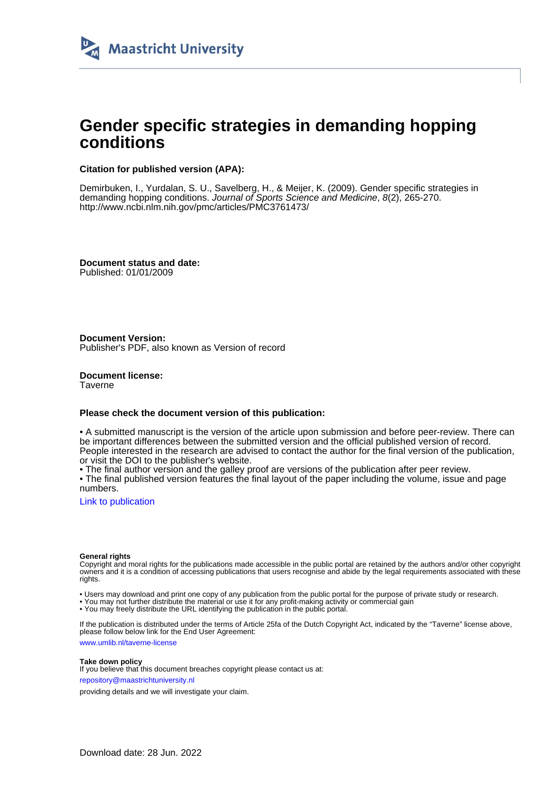

# **Gender specific strategies in demanding hopping conditions**

# **Citation for published version (APA):**

Demirbuken, I., Yurdalan, S. U., Savelberg, H., & Meijer, K. (2009). Gender specific strategies in demanding hopping conditions. Journal of Sports Science and Medicine, 8(2), 265-270. <http://www.ncbi.nlm.nih.gov/pmc/articles/PMC3761473/>

**Document status and date:** Published: 01/01/2009

**Document Version:** Publisher's PDF, also known as Version of record

**Document license: Taverne** 

# **Please check the document version of this publication:**

• A submitted manuscript is the version of the article upon submission and before peer-review. There can be important differences between the submitted version and the official published version of record. People interested in the research are advised to contact the author for the final version of the publication, or visit the DOI to the publisher's website.

• The final author version and the galley proof are versions of the publication after peer review.

• The final published version features the final layout of the paper including the volume, issue and page numbers.

[Link to publication](https://cris.maastrichtuniversity.nl/en/publications/f1009ba1-438a-444f-a6aa-ee412ea86153)

#### **General rights**

Copyright and moral rights for the publications made accessible in the public portal are retained by the authors and/or other copyright owners and it is a condition of accessing publications that users recognise and abide by the legal requirements associated with these rights.

• Users may download and print one copy of any publication from the public portal for the purpose of private study or research.

• You may not further distribute the material or use it for any profit-making activity or commercial gain

• You may freely distribute the URL identifying the publication in the public portal.

If the publication is distributed under the terms of Article 25fa of the Dutch Copyright Act, indicated by the "Taverne" license above, please follow below link for the End User Agreement:

www.umlib.nl/taverne-license

# **Take down policy**

If you believe that this document breaches copyright please contact us at: repository@maastrichtuniversity.nl

providing details and we will investigate your claim.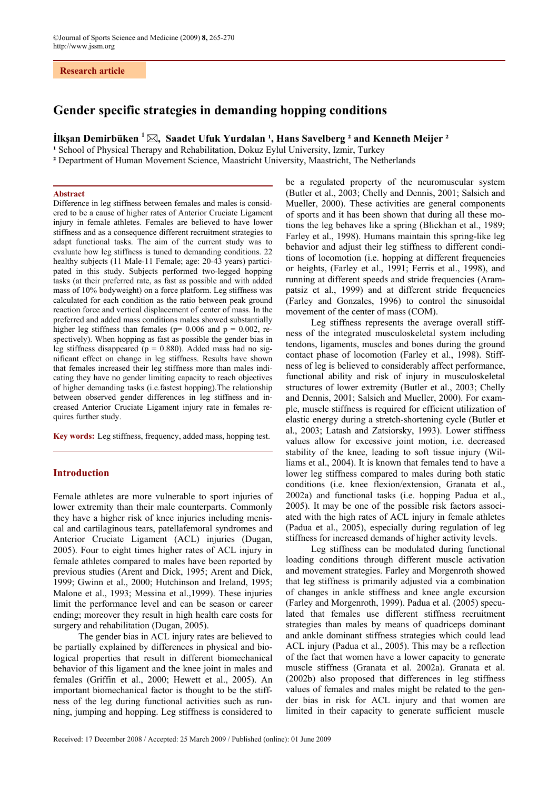# **Research article**

# **Gender specific strategies in demanding hopping conditions**

**İlkşan Demirbüken**  $^1 \boxtimes$ , Saadet Ufuk Yurdalan <sup>1</sup>, Hans Savelberg <sup>2</sup> and Kenneth Meijer <sup>2</sup>

<sup>1</sup> School of Physical Therapy and Rehabilitation, Dokuz Eylul University, Izmir, Turkey

**²** Department of Human Movement Science, Maastricht University, Maastricht, The Netherlands

# **Abstract**

Difference in leg stiffness between females and males is considered to be a cause of higher rates of Anterior Cruciate Ligament injury in female athletes. Females are believed to have lower stiffness and as a consequence different recruitment strategies to adapt functional tasks. The aim of the current study was to evaluate how leg stiffness is tuned to demanding conditions. 22 healthy subjects (11 Male-11 Female; age: 20-43 years) participated in this study. Subjects performed two-legged hopping tasks (at their preferred rate, as fast as possible and with added mass of 10% bodyweight) on a force platform. Leg stiffness was calculated for each condition as the ratio between peak ground reaction force and vertical displacement of center of mass. In the preferred and added mass conditions males showed substantially higher leg stiffness than females ( $p= 0.006$  and  $p = 0.002$ , respectively). When hopping as fast as possible the gender bias in leg stiffness disappeared ( $p = 0.880$ ). Added mass had no significant effect on change in leg stiffness. Results have shown that females increased their leg stiffness more than males indicating they have no gender limiting capacity to reach objectives of higher demanding tasks (i.e.fastest hopping).The relationship between observed gender differences in leg stiffness and increased Anterior Cruciate Ligament injury rate in females requires further study.

**Key words:** Leg stiffness, frequency, added mass, hopping test.

# **Introduction**

Female athletes are more vulnerable to sport injuries of lower extremity than their male counterparts. Commonly they have a higher risk of knee injuries including meniscal and cartilaginous tears, patellafemoral syndromes and Anterior Cruciate Ligament (ACL) injuries (Dugan, 2005). Four to eight times higher rates of ACL injury in female athletes compared to males have been reported by previous studies (Arent and Dick, 1995; Arent and Dick, 1999; Gwinn et al., 2000; Hutchinson and Ireland, 1995; Malone et al., 1993; Messina et al.,1999). These injuries limit the performance level and can be season or career ending; moreover they result in high health care costs for surgery and rehabilitation (Dugan, 2005).

The gender bias in ACL injury rates are believed to be partially explained by differences in physical and biological properties that result in different biomechanical behavior of this ligament and the knee joint in males and females (Griffin et al., 2000; Hewett et al., 2005). An important biomechanical factor is thought to be the stiffness of the leg during functional activities such as running, jumping and hopping. Leg stiffness is considered to

be a regulated property of the neuromuscular system (Butler et al., 2003; Chelly and Dennis, 2001; Salsich and Mueller, 2000). These activities are general components of sports and it has been shown that during all these motions the leg behaves like a spring (Blickhan et al., 1989; Farley et al., 1998). Humans maintain this spring-like leg behavior and adjust their leg stiffness to different conditions of locomotion (i.e. hopping at different frequencies or heights, (Farley et al., 1991; Ferris et al., 1998), and running at different speeds and stride frequencies (Arampatsiz et al., 1999) and at different stride frequencies (Farley and Gonzales, 1996) to control the sinusoidal movement of the center of mass (COM).

Leg stiffness represents the average overall stiffness of the integrated musculoskeletal system including tendons, ligaments, muscles and bones during the ground contact phase of locomotion (Farley et al., 1998). Stiffness of leg is believed to considerably affect performance, functional ability and risk of injury in musculoskeletal structures of lower extremity (Butler et al., 2003; Chelly and Dennis, 2001; Salsich and Mueller, 2000). For example, muscle stiffness is required for efficient utilization of elastic energy during a stretch-shortening cycle (Butler et al., 2003; Latash and Zatsiorsky, 1993). Lower stiffness values allow for excessive joint motion, i.e. decreased stability of the knee, leading to soft tissue injury (Williams et al., 2004). It is known that females tend to have a lower leg stiffness compared to males during both static conditions (i.e. knee flexion/extension, Granata et al., 2002a) and functional tasks (i.e. hopping Padua et al., 2005). It may be one of the possible risk factors associated with the high rates of ACL injury in female athletes (Padua et al., 2005), especially during regulation of leg stiffness for increased demands of higher activity levels.

Leg stiffness can be modulated during functional loading conditions through different muscle activation and movement strategies. Farley and Morgenroth showed that leg stiffness is primarily adjusted via a combination of changes in ankle stiffness and knee angle excursion (Farley and Morgenroth, 1999). Padua et al. (2005) speculated that females use different stiffness recruitment strategies than males by means of quadriceps dominant and ankle dominant stiffness strategies which could lead ACL injury (Padua et al., 2005). This may be a reflection of the fact that women have a lower capacity to generate muscle stiffness (Granata et al. 2002a). Granata et al. (2002b) also proposed that differences in leg stiffness values of females and males might be related to the gender bias in risk for ACL injury and that women are limited in their capacity to generate sufficient muscle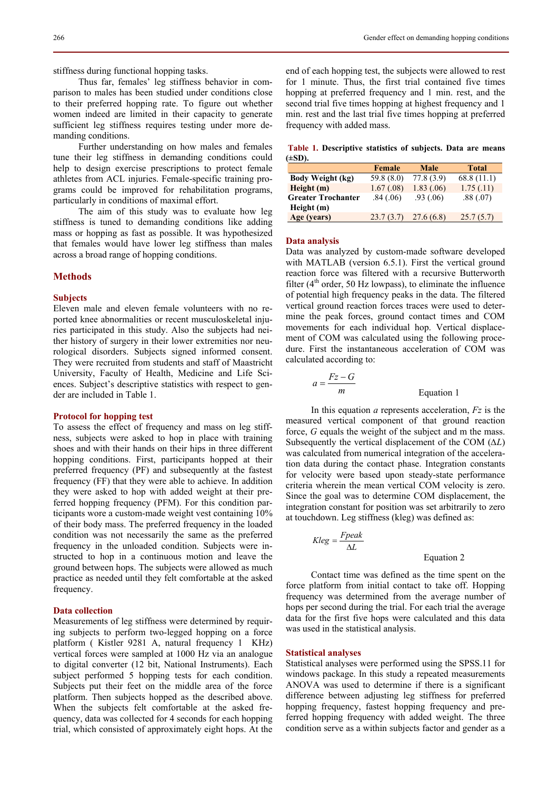stiffness during functional hopping tasks.

Thus far, females' leg stiffness behavior in comparison to males has been studied under conditions close to their preferred hopping rate. To figure out whether women indeed are limited in their capacity to generate sufficient leg stiffness requires testing under more demanding conditions.

Further understanding on how males and females tune their leg stiffness in demanding conditions could help to design exercise prescriptions to protect female athletes from ACL injuries. Female-specific training programs could be improved for rehabilitation programs, particularly in conditions of maximal effort.

The aim of this study was to evaluate how leg stiffness is tuned to demanding conditions like adding mass or hopping as fast as possible. It was hypothesized that females would have lower leg stiffness than males across a broad range of hopping conditions.

# **Methods**

# **Subjects**

Eleven male and eleven female volunteers with no reported knee abnormalities or recent musculoskeletal injuries participated in this study. Also the subjects had neither history of surgery in their lower extremities nor neurological disorders. Subjects signed informed consent. They were recruited from students and staff of Maastricht University, Faculty of Health, Medicine and Life Sciences. Subject's descriptive statistics with respect to gender are included in Table 1.

# **Protocol for hopping test**

To assess the effect of frequency and mass on leg stiffness, subjects were asked to hop in place with training shoes and with their hands on their hips in three different hopping conditions. First, participants hopped at their preferred frequency (PF) and subsequently at the fastest frequency (FF) that they were able to achieve. In addition they were asked to hop with added weight at their preferred hopping frequency (PFM). For this condition participants wore a custom-made weight vest containing 10% of their body mass. The preferred frequency in the loaded condition was not necessarily the same as the preferred frequency in the unloaded condition. Subjects were instructed to hop in a continuous motion and leave the ground between hops. The subjects were allowed as much practice as needed until they felt comfortable at the asked frequency.

# **Data collection**

Measurements of leg stiffness were determined by requiring subjects to perform two-legged hopping on a force platform ( Kistler 9281 A, natural frequency 1 KHz) vertical forces were sampled at 1000 Hz via an analogue to digital converter (12 bit, National Instruments). Each subject performed 5 hopping tests for each condition. Subjects put their feet on the middle area of the force platform. Then subjects hopped as the described above. When the subjects felt comfortable at the asked frequency, data was collected for 4 seconds for each hopping trial, which consisted of approximately eight hops. At the

end of each hopping test, the subjects were allowed to rest for 1 minute. Thus, the first trial contained five times hopping at preferred frequency and 1 min. rest, and the second trial five times hopping at highest frequency and 1 min. rest and the last trial five times hopping at preferred frequency with added mass.

 **Table 1. Descriptive statistics of subjects. Data are means (±SD).** 

|                           | Female     | <b>Male</b> | <b>Total</b> |  |
|---------------------------|------------|-------------|--------------|--|
| <b>Body Weight (kg)</b>   | 59.8 (8.0) | 77.8(3.9)   | 68.8(11.1)   |  |
| Height(m)                 | 1.67(.08)  | 1.83(0.06)  | 1.75(.11)    |  |
| <b>Greater Trochanter</b> | .84(.06)   | .93(0.06)   | .88(.07)     |  |
| Height (m)                |            |             |              |  |
| Age (years)               | 23.7(3.7)  | 27.6(6.8)   | 25.7(5.7)    |  |

#### **Data analysis**

Data was analyzed by custom-made software developed with MATLAB (version 6.5.1). First the vertical ground reaction force was filtered with a recursive Butterworth filter  $(4<sup>th</sup> order, 50 Hz lowpass)$ , to eliminate the influence of potential high frequency peaks in the data. The filtered vertical ground reaction forces traces were used to determine the peak forces, ground contact times and COM movements for each individual hop. Vertical displacement of COM was calculated using the following procedure. First the instantaneous acceleration of COM was calculated according to:

$$
a = \frac{Fz - G}{m}
$$
 Equation 1

In this equation *a* represents acceleration, *Fz* is the measured vertical component of that ground reaction force, *G* equals the weight of the subject and m the mass. Subsequently the vertical displacement of the COM (*∆L*) was calculated from numerical integration of the acceleration data during the contact phase. Integration constants for velocity were based upon steady-state performance criteria wherein the mean vertical COM velocity is zero. Since the goal was to determine COM displacement, the integration constant for position was set arbitrarily to zero at touchdown. Leg stiffness (kleg) was defined as:

$$
Kleg = \frac{Fpeak}{\Delta L}
$$

Equation 2

Contact time was defined as the time spent on the force platform from initial contact to take off. Hopping frequency was determined from the average number of hops per second during the trial. For each trial the average data for the first five hops were calculated and this data was used in the statistical analysis.

# **Statistical analyses**

Statistical analyses were performed using the SPSS.11 for windows package. In this study a repeated measurements ANOVA was used to determine if there is a significant difference between adjusting leg stiffness for preferred hopping frequency, fastest hopping frequency and preferred hopping frequency with added weight. The three condition serve as a within subjects factor and gender as a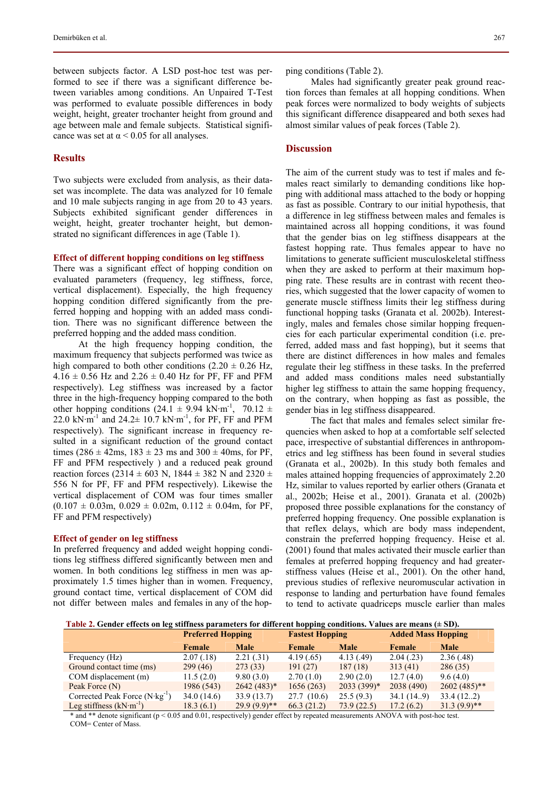between subjects factor. A LSD post-hoc test was performed to see if there was a significant difference between variables among conditions. An Unpaired T-Test was performed to evaluate possible differences in body weight, height, greater trochanter height from ground and age between male and female subjects. Statistical significance was set at  $\alpha$  < 0.05 for all analyses.

# **Results**

Two subjects were excluded from analysis, as their dataset was incomplete. The data was analyzed for 10 female and 10 male subjects ranging in age from 20 to 43 years. Subjects exhibited significant gender differences in weight, height, greater trochanter height, but demonstrated no significant differences in age (Table 1).

#### **Effect of different hopping conditions on leg stiffness**

There was a significant effect of hopping condition on evaluated parameters (frequency, leg stiffness, force, vertical displacement). Especially, the high frequency hopping condition differed significantly from the preferred hopping and hopping with an added mass condition. There was no significant difference between the preferred hopping and the added mass condition.

At the high frequency hopping condition, the maximum frequency that subjects performed was twice as high compared to both other conditions  $(2.20 \pm 0.26 \text{ Hz})$ ,  $4.16 \pm 0.56$  Hz and  $2.26 \pm 0.40$  Hz for PF, FF and PFM respectively). Leg stiffness was increased by a factor three in the high-frequency hopping compared to the both other hopping conditions (24.1  $\pm$  9.94 kN·m<sup>-1</sup>, 70.12  $\pm$ 22.0 kN·m<sup>-1</sup> and 24.2 $\pm$  10.7 kN·m<sup>-1</sup>, for PF, FF and PFM respectively). The significant increase in frequency resulted in a significant reduction of the ground contact times ( $286 \pm 42$ ms,  $183 \pm 23$  ms and  $300 \pm 40$ ms, for PF, FF and PFM respectively ) and a reduced peak ground reaction forces (2314  $\pm$  603 N, 1844  $\pm$  382 N and 2320  $\pm$ 556 N for PF, FF and PFM respectively). Likewise the vertical displacement of COM was four times smaller  $(0.107 \pm 0.03 \text{m}, 0.029 \pm 0.02 \text{m}, 0.112 \pm 0.04 \text{m}, \text{ for PF},$ FF and PFM respectively)

#### **Effect of gender on leg stiffness**

In preferred frequency and added weight hopping conditions leg stiffness differed significantly between men and women. In both conditions leg stiffness in men was approximately 1.5 times higher than in women. Frequency, ground contact time, vertical displacement of COM did not differ between males and females in any of the hopping conditions (Table 2).

Males had significantly greater peak ground reaction forces than females at all hopping conditions. When peak forces were normalized to body weights of subjects this significant difference disappeared and both sexes had almost similar values of peak forces (Table 2).

# **Discussion**

The aim of the current study was to test if males and females react similarly to demanding conditions like hopping with additional mass attached to the body or hopping as fast as possible. Contrary to our initial hypothesis, that a difference in leg stiffness between males and females is maintained across all hopping conditions, it was found that the gender bias on leg stiffness disappears at the fastest hopping rate. Thus females appear to have no limitations to generate sufficient musculoskeletal stiffness when they are asked to perform at their maximum hopping rate. These results are in contrast with recent theories, which suggested that the lower capacity of women to generate muscle stiffness limits their leg stiffness during functional hopping tasks (Granata et al. 2002b). Interestingly, males and females chose similar hopping frequencies for each particular experimental condition (i.e. preferred, added mass and fast hopping), but it seems that there are distinct differences in how males and females regulate their leg stiffness in these tasks. In the preferred and added mass conditions males need substantially higher leg stiffness to attain the same hopping frequency, on the contrary, when hopping as fast as possible, the gender bias in leg stiffness disappeared.

The fact that males and females select similar frequencies when asked to hop at a comfortable self selected pace, irrespective of substantial differences in anthropometrics and leg stiffness has been found in several studies (Granata et al., 2002b). In this study both females and males attained hopping frequencies of approximately 2.20 Hz, similar to values reported by earlier others (Granata et al., 2002b; Heise et al., 2001). Granata et al. (2002b) proposed three possible explanations for the constancy of preferred hopping frequency. One possible explanation is that reflex delays, which are body mass independent, constrain the preferred hopping frequency. Heise et al. (2001) found that males activated their muscle earlier than females at preferred hopping frequency and had greaterstiffness values (Heise et al., 2001). On the other hand, previous studies of reflexive neuromuscular activation in response to landing and perturbation have found females to tend to activate quadriceps muscle earlier than males

 **Table 2. Gender effects on leg stiffness parameters for different hopping conditions. Values are means (± SD).** 

|                                          | <b>Preferred Hopping</b> |                | <b>Fastest Hopping</b> |              | <b>Added Mass Hopping</b> |                |
|------------------------------------------|--------------------------|----------------|------------------------|--------------|---------------------------|----------------|
|                                          | Female                   | <b>Male</b>    | Female                 | <b>Male</b>  | Female                    | <b>Male</b>    |
| Frequency (Hz)                           | 2.07(0.18)               | 2.21(.31)      | 4.19(.65)              | 4.13(0.49)   | 2.04(.23)                 | 2.36(.48)      |
| Ground contact time (ms)                 | 299(46)                  | 273(33)        | 191(27)                | 187(18)      | 313(41)                   | 286(35)        |
| COM displacement (m)                     | 11.5(2.0)                | 9.80(3.0)      | 2.70(1.0)              | 2.90(2.0)    | 12.7(4.0)                 | 9.6(4.0)       |
| Peak Force (N)                           | 1986 (543)               | $2642(483)*$   | 1656(263)              | $2033(399)*$ | 2038 (490)                | $2602(485)$ ** |
| Corrected Peak Force $(N \cdot kg^{-1})$ | 34.0(14.6)               | 33.9(13.7)     | 27.7(10.6)             | 25.5(9.3)    | 34.1(14.9)                | 33.4(12.2)     |
| Leg stiffness $(kN·m^{-1})$              | 18.3(6.1)                | $29.9(9.9)$ ** | 66.3(21.2)             | 73.9(22.5)   | 17.2(6.2)                 | $31.3(9.9)$ ** |

\* and \*\* denote significant (p < 0.05 and 0.01, respectively) gender effect by repeated measurements ANOVA with post-hoc test. COM= Center of Mass.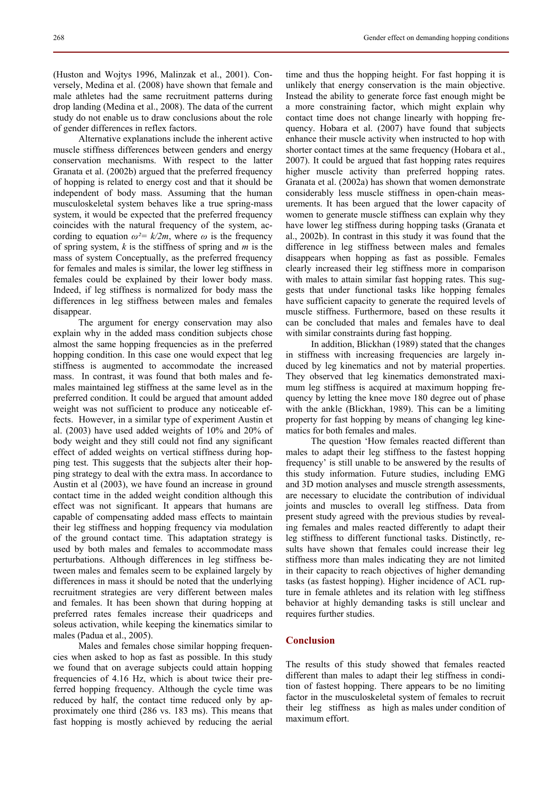(Huston and Wojtys 1996, Malinzak et al., 2001). Conversely, Medina et al. (2008) have shown that female and male athletes had the same recruitment patterns during drop landing (Medina et al., 2008). The data of the current study do not enable us to draw conclusions about the role of gender differences in reflex factors.

Alternative explanations include the inherent active muscle stiffness differences between genders and energy conservation mechanisms. With respect to the latter Granata et al. (2002b) argued that the preferred frequency of hopping is related to energy cost and that it should be independent of body mass. Assuming that the human musculoskeletal system behaves like a true spring-mass system, it would be expected that the preferred frequency coincides with the natural frequency of the system, according to equation  $\omega^2 = k/2m$ , where  $\omega$  is the frequency of spring system, *k* is the stiffness of spring and *m* is the mass of system Conceptually, as the preferred frequency for females and males is similar, the lower leg stiffness in females could be explained by their lower body mass. Indeed, if leg stiffness is normalized for body mass the differences in leg stiffness between males and females disappear.

The argument for energy conservation may also explain why in the added mass condition subjects chose almost the same hopping frequencies as in the preferred hopping condition. In this case one would expect that leg stiffness is augmented to accommodate the increased mass. In contrast, it was found that both males and females maintained leg stiffness at the same level as in the preferred condition. It could be argued that amount added weight was not sufficient to produce any noticeable effects. However, in a similar type of experiment Austin et al. (2003) have used added weights of 10% and 20% of body weight and they still could not find any significant effect of added weights on vertical stiffness during hopping test. This suggests that the subjects alter their hopping strategy to deal with the extra mass. In accordance to Austin et al (2003), we have found an increase in ground contact time in the added weight condition although this effect was not significant. It appears that humans are capable of compensating added mass effects to maintain their leg stiffness and hopping frequency via modulation of the ground contact time. This adaptation strategy is used by both males and females to accommodate mass perturbations. Although differences in leg stiffness between males and females seem to be explained largely by differences in mass it should be noted that the underlying recruitment strategies are very different between males and females. It has been shown that during hopping at preferred rates females increase their quadriceps and soleus activation, while keeping the kinematics similar to males (Padua et al., 2005).

Males and females chose similar hopping frequencies when asked to hop as fast as possible. In this study we found that on average subjects could attain hopping frequencies of 4.16 Hz, which is about twice their preferred hopping frequency. Although the cycle time was reduced by half, the contact time reduced only by approximately one third (286 vs. 183 ms). This means that fast hopping is mostly achieved by reducing the aerial

time and thus the hopping height. For fast hopping it is unlikely that energy conservation is the main objective. Instead the ability to generate force fast enough might be a more constraining factor, which might explain why contact time does not change linearly with hopping frequency. Hobara et al. (2007) have found that subjects enhance their muscle activity when instructed to hop with shorter contact times at the same frequency (Hobara et al., 2007). It could be argued that fast hopping rates requires higher muscle activity than preferred hopping rates. Granata et al. (2002a) has shown that women demonstrate considerably less muscle stiffness in open-chain measurements. It has been argued that the lower capacity of women to generate muscle stiffness can explain why they have lower leg stiffness during hopping tasks (Granata et al., 2002b). In contrast in this study it was found that the difference in leg stiffness between males and females disappears when hopping as fast as possible. Females clearly increased their leg stiffness more in comparison with males to attain similar fast hopping rates. This suggests that under functional tasks like hopping females have sufficient capacity to generate the required levels of muscle stiffness. Furthermore, based on these results it can be concluded that males and females have to deal with similar constraints during fast hopping.

In addition, Blickhan (1989) stated that the changes in stiffness with increasing frequencies are largely induced by leg kinematics and not by material properties. They observed that leg kinematics demonstrated maximum leg stiffness is acquired at maximum hopping frequency by letting the knee move 180 degree out of phase with the ankle (Blickhan, 1989). This can be a limiting property for fast hopping by means of changing leg kinematics for both females and males.

The question 'How females reacted different than males to adapt their leg stiffness to the fastest hopping frequency' is still unable to be answered by the results of this study information. Future studies, including EMG and 3D motion analyses and muscle strength assessments, are necessary to elucidate the contribution of individual joints and muscles to overall leg stiffness. Data from present study agreed with the previous studies by revealing females and males reacted differently to adapt their leg stiffness to different functional tasks. Distinctly, results have shown that females could increase their leg stiffness more than males indicating they are not limited in their capacity to reach objectives of higher demanding tasks (as fastest hopping). Higher incidence of ACL rupture in female athletes and its relation with leg stiffness behavior at highly demanding tasks is still unclear and requires further studies.

# **Conclusion**

The results of this study showed that females reacted different than males to adapt their leg stiffness in condition of fastest hopping. There appears to be no limiting factor in the musculoskeletal system of females to recruit their leg stiffness as high as males under condition of maximum effort.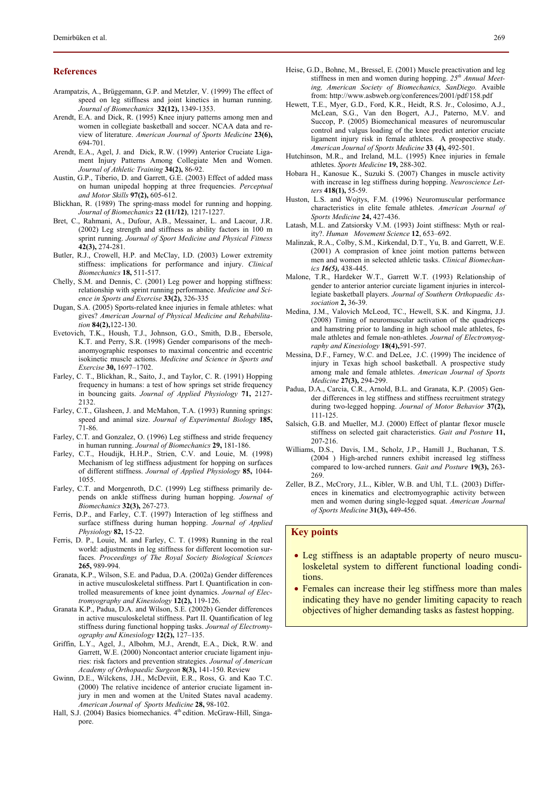# **References**

- Arampatzis, A., Brüggemann, G.P. and Metzler, V. (1999) The effect of speed on leg stiffness and joint kinetics in human running. *Journal of Biomechanics* **32(12),** 1349-1353.
- Arendt, E.A. and Dick, R. (1995) Knee injury patterns among men and women in collegiate basketball and soccer. NCAA data and review of literature. *American Journal of Sports Medicine* **23(6),** 694-701.
- Arendt, E.A., Agel, J. and Dick, R.W. (1999) Anterior Cruciate Ligament Injury Patterns Among Collegiate Men and Women. *Journal of Athletic Training* **34(2),** 86-92.
- Austin, G.P., Tiberio, D. and Garrett, G.E. (2003) Effect of added mass on human unipedal hopping at three frequencies. *Perceptual and Motor Skills* **97(2),** 605-612.
- Blickhan, R. (1989) The spring-mass model for running and hopping. *Journal of Biomechanics* **22 (11/12)**, 1217-1227.
- Bret, C., Rahmani, A., Dufour, A.B., Messainer, L. and Lacour, J.R. (2002) Leg strength and stiffness as ability factors in 100 m sprint running. *Journal of Sport Medicine and Physical Fitness* **42(3),** 274-281.
- Butler, R.J., Crowell, H.P. and McClay, I.D. (2003) Lower extremity stiffness: implications for performance and injury. *Clinical Biomechanics* **18,** 511-517.
- Chelly, S.M. and Dennis, C. (2001) Leg power and hopping stiffness: relationship with sprint running performance. *Medicine and Science in Sports and Exercise* **33(2),** 326-335
- Dugan, S.A. (2005) Sports-related knee injuries in female athletes: what gives? *American Journal of Physical Medicine and Rehabilitation* **84(2),**122-130.
- Evetovich, T.K., Housh, T.J., Johnson, G.O., Smith, D.B., Ebersole, K.T. and Perry, S.R. (1998) Gender comparisons of the mechanomyographic responses to maximal concentric and eccentric isokinetic muscle actions. *Medicine and Science in Sports and Exercise* **30,** 1697–1702.
- Farley, C. T., Blickhan, R., Saito, J., and Taylor, C. R. (1991) Hopping frequency in humans: a test of how springs set stride frequency in bouncing gaits. *Journal of Applied Physiology* **71,** 2127- 2132.
- Farley, C.T., Glasheen, J. and McMahon, T.A. (1993) Running springs: speed and animal size. *Journal of Experimental Biology* **185,** 71-86.
- Farley, C.T. and Gonzalez, O. (1996) Leg stiffness and stride frequency in human running. *Journal of Biomechanics* **29,** 181-186.
- Farley, C.T., Houdijk, H.H.P., Strien, C.V. and Louie, M. (1998) Mechanism of leg stiffness adjustment for hopping on surfaces of different stiffness. *Journal of Applied Physiology* **85,** 1044- 1055.
- Farley, C.T. and Morgenroth, D.C. (1999) Leg stiffness primarily depends on ankle stiffness during human hopping. *Journal of Biomechanics* **32(3),** 267-273.
- Ferris, D.P., and Farley, C.T. (1997) Interaction of leg stiffness and surface stiffness during human hopping. *Journal of Applied Physiology* **82,** 15-22.
- Ferris, D. P., Louie, M. and Farley, C. T. (1998) Running in the real world: adjustments in leg stiffness for different locomotion surfaces. *Proceedings of The Royal Society Biological Sciences* **265,** 989-994.
- Granata, K.P., Wilson, S.E. and Padua, D.A. (2002a) Gender differences in active musculoskeletal stiffness. Part I. Quantification in controlled measurements of knee joint dynamics. *Journal of Electromyography and Kinesiology* **12(2),** 119-126.
- Granata K.P., Padua, D.A. and Wilson, S.E. (2002b) Gender differences in active musculoskeletal stiffness. Part II. Quantification of leg stiffness during functional hopping tasks. *Journal of Electromyography and Kinesiology* **12(2),** 127–135.
- Griffin, L.Y., Agel, J., Albohm, M.J., Arendt, E.A., Dick, R.W. and Garrett, W.E. (2000) Noncontact anterior cruciate ligament injuries: risk factors and prevention strategies. *Journal of American Academy of Orthopaedic Surgeon* **8(3),** 141-150. Review
- Gwinn, D.E., Wilckens, J.H., McDeviit, E.R., Ross, G. and Kao T.C. (2000) The relative incidence of anterior cruciate ligament injury in men and women at the United States naval academy. *American Journal of Sports Medicine* **28,** 98-102.
- Hall, S.J. (2004) Basics biomechanics. 4<sup>th</sup> edition. McGraw-Hill, Singapore.
- Heise, G.D., Bohne, M., Bressel, E. (2001) Muscle preactivation and leg stiffness in men and women during hopping. *25th Annual Meeting, American Society of Biomechanics, SanDiego.* Avaible from: http://www.asbweb.org/conferences/2001/pdf/158.pdf
- Hewett, T.E., Myer, G.D., Ford, K.R., Heidt, R.S. Jr., Colosimo, A.J., McLean, S.G., Van den Bogert, A.J., Paterno, M.V. and Succop, P. (2005) Biomechanical measures of neuromuscular control and valgus loading of the knee predict anterior cruciate ligament injury risk in female athletes. A prospective study. *American Journal of Sports Medicine* **33 (4),** 492-501.
- Hutchinson, M.R., and Ireland, M.L. (1995) Knee injuries in female athletes. *Sports Medicine* **19,** 288-302.
- Hobara H., Kanosue K., Suzuki S. (2007) Changes in muscle activity with increase in leg stiffness during hopping. *Neuroscience Letters* **418(1),** 55-59.
- Huston, L.S. and Wojtys, F.M. (1996) Neuromuscular performance characteristics in elite female athletes. *American Journal of Sports Medicine* **24,** 427-436.
- Latash, M.L. and Zatsiorsky V.M. (1993) Joint stiffness: Myth or reality?. *Human Movement Science* **12**, 653–692.
- Malinzak, R.A., Colby, S.M., Kirkendal, D.T., Yu, B. and Garrett, W.E. (2001) A comprasion of knee joint motion patterns between men and women in selected athletic tasks. *Clinical Biomechanics 16(5),* 438-445.
- Malone, T.R., Hardeker W.T., Garrett W.T. (1993) Relationship of gender to anterior anterior curciate ligament injuries in intercollegiate basketball players. *Journal of Southern Orthopaedic Association* **2,** 36-39.
- Medina, J.M., Valovich McLeod, TC., Hewell, S.K. and Kingma, J.J. (2008) Timing of neuromuscular activation of the quadriceps and hamstring prior to landing in high school male athletes, female athletes and female non-athletes. *Journal of Electromyography and Kinesiology* **18(4),**591-597.
- Messina, D.F., Farney, W.C. and DeLee, J.C. (1999) The incidence of injury in Texas high school basketball. A prospective study among male and female athletes. *American Journal of Sports Medicine* **27(3),** 294-299.
- Padua, D.A., Carcia, C.R., Arnold, B.L. and Granata, K.P. (2005) Gender differences in leg stiffness and stiffness recruitment strategy during two-legged hopping. *Journal of Motor Behavior* **37(2),** 111-125.
- Salsich, G.B. and Mueller, M.J. (2000) Effect of plantar flexor muscle stiffness on selected gait characteristics. *Gait and Posture* **11,** 207-216.
- Williams, D.S., Davis, I.M., Scholz, J.P., Hamill J., Buchanan, T.S. (2004 ) High-arched runners exhibit increased leg stiffness compared to low-arched runners. *Gait and Posture* **19(3),** 263- 269.
- Zeller, B.Z., McCrory, J.L., Kibler, W.B. and Uhl, T.L. (2003) Differences in kinematics and electromyographic activity between men and women during single-legged squat. *American Journal of Sports Medicine* **31(3),** 449-456.

# **Key points**

- Leg stiffness is an adaptable property of neuro musculoskeletal system to different functional loading conditions.
- Females can increase their leg stiffness more than males indicating they have no gender limiting capacity to reach objectives of higher demanding tasks as fastest hopping.